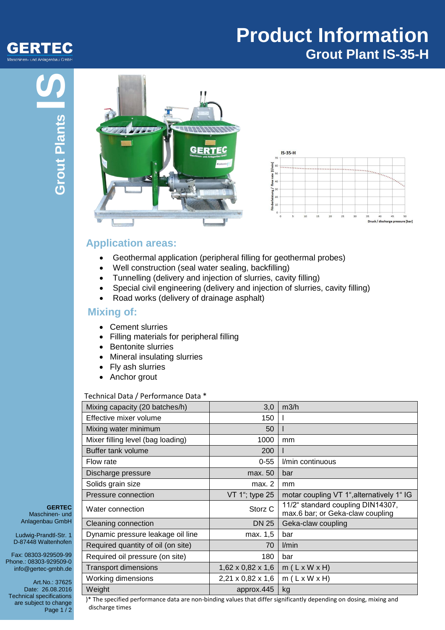

# **Product Information Grout Plant IS-35-H**





### **Application areas:**

- Geothermal application (peripheral filling for geothermal probes)
- Well construction (seal water sealing, backfilling)
- Tunnelling (delivery and injection of slurries, cavity filling)
- Special civil engineering (delivery and injection of slurries, cavity filling)
- Road works (delivery of drainage asphalt)

#### **Mixing of:**

- Cement slurries
- Filling materials for peripheral filling
- Bentonite slurries
- Mineral insulating slurries
- Fly ash slurries
- Anchor grout

#### Technical Data / Performance Data \*

| Mixing capacity (20 batches/h)     | 3,0                           | m3/h                                                                  |
|------------------------------------|-------------------------------|-----------------------------------------------------------------------|
| Effective mixer volume             | 150                           |                                                                       |
| Mixing water minimum               | 50                            |                                                                       |
| Mixer filling level (bag loading)  | 1000                          | mm                                                                    |
| Buffer tank volume                 | 200                           |                                                                       |
| Flow rate                          | $0 - 55$                      | I/min continuous                                                      |
| Discharge pressure                 | max. 50                       | bar                                                                   |
| Solids grain size                  | max. 2                        | mm                                                                    |
| Pressure connection                | VT 1"; type 25                | motar coupling VT 1", alternatively 1" IG                             |
| Water connection                   | Storz <sub>C</sub>            | 11/2" standard coupling DIN14307,<br>max.6 bar; or Geka-claw coupling |
| Cleaning connection                | <b>DN 25</b>                  | Geka-claw coupling                                                    |
| Dynamic pressure leakage oil line  | max. 1,5                      | bar                                                                   |
| Required quantity of oil (on site) | 70                            | l/min                                                                 |
| Required oil pressure (on site)    | 180                           | bar                                                                   |
| <b>Transport dimensions</b>        | $1,62 \times 0,82 \times 1,6$ | $m(L \times W \times H)$                                              |
| Working dimensions                 | $2,21 \times 0,82 \times 1,6$ | $m(L \times W \times H)$                                              |
| Weight                             | approx.445                    | kg                                                                    |

**GERTEC** Maschinen- und Anlagenbau GmbH

Ludwig-Prandtl-Str. 1 D-87448 Waltenhofen

Fax: 08303-929509-99 Phone.: 08303-929509-0 info@gertec-gmbh.de

Art.No.: 37625 Date: 26.08.2016 Technical specifications are subject to change Page 1/2

)\* The specified performance data are non-binding values that differ significantly depending on dosing, mixing and discharge times